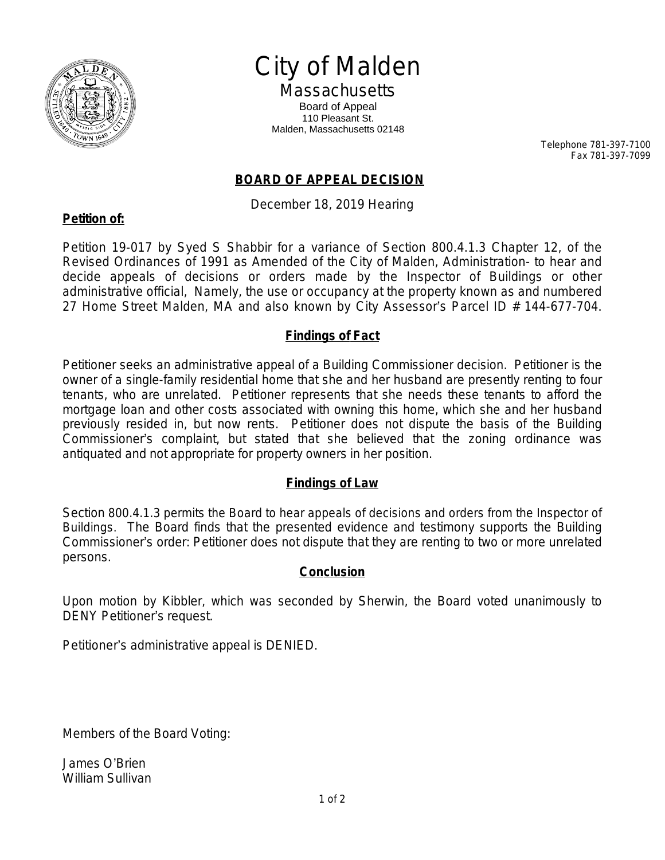

# City of Malden

**Massachusetts** Board of Appeal 110 Pleasant St. Malden, Massachusetts 02148

> Telephone 781-397-7100 Fax 781-397-7099

## **BOARD OF APPEAL DECISION**

December 18, 2019 Hearing

## **Petition of:**

Petition 19-017 by Syed S Shabbir for a variance of Section 800.4.1.3 Chapter 12, of the Revised Ordinances of 1991 as Amended of the City of Malden, Administration- to hear and decide appeals of decisions or orders made by the Inspector of Buildings or other administrative official, Namely, the use or occupancy at the property known as and numbered 27 Home Street Malden, MA and also known by City Assessor's Parcel ID # 144-677-704.

## **Findings of Fact**

Petitioner seeks an administrative appeal of a Building Commissioner decision. Petitioner is the owner of a single-family residential home that she and her husband are presently renting to four tenants, who are unrelated. Petitioner represents that she needs these tenants to afford the mortgage loan and other costs associated with owning this home, which she and her husband previously resided in, but now rents. Petitioner does not dispute the basis of the Building Commissioner's complaint, but stated that she believed that the zoning ordinance was antiquated and not appropriate for property owners in her position.

## **Findings of Law**

Section 800.4.1.3 permits the Board to hear appeals of decisions and orders from the Inspector of Buildings. The Board finds that the presented evidence and testimony supports the Building Commissioner's order: Petitioner does not dispute that they are renting to two or more unrelated persons.

### **Conclusion**

Upon motion by Kibbler, which was seconded by Sherwin, the Board voted unanimously to DENY Petitioner's request.

Petitioner's administrative appeal is DENIED.

Members of the Board Voting:

James O'Brien William Sullivan